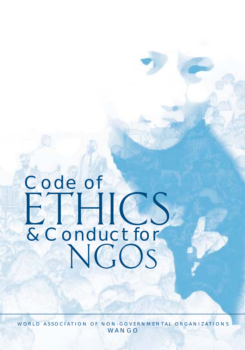### NGOs& Conduct for ETHICSCode of

WORLD ASSOCIATION OF NON-GOVERNMENTAL ORGANIZATIONS **WANGO**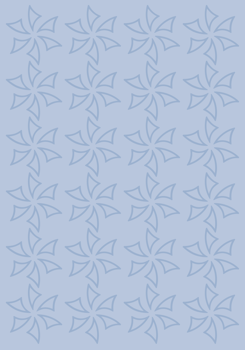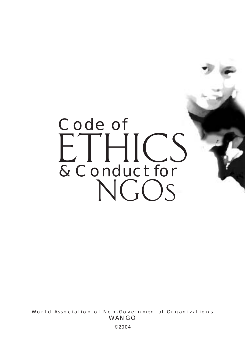

World Association of Non-Governmental Organizations WANGO

©2004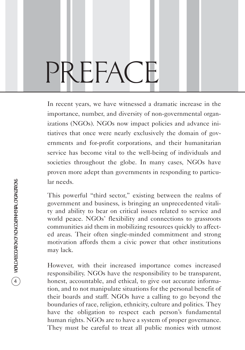# PREFACE

In recent years, we have witnessed a dramatic increase in the importance, number, and diversity of non-governmental organizations (NGOs). NGOs now impact policies and advance initiatives that once were nearly exclusively the domain of governments and for-profit corporations, and their humanitarian service has become vital to the well-being of individuals and societies throughout the globe. In many cases, NGOs have proven more adept than governments in responding to particular needs.

This powerful "third sector," existing between the realms of government and business, is bringing an unprecedented vitality and ability to bear on critical issues related to service and world peace. NGOs' flexibility and connections to grassroots communities aid them in mobilizing resources quickly to affected areas. Their often single-minded commitment and strong motivation affords them a civic power that other institutions may lack.

However, with their increased importance comes increased responsibility. NGOs have the responsibility to be transparent, honest, accountable, and ethical, to give out accurate information, and to not manipulate situations for the personal benefit of their boards and staff. NGOs have a calling to go beyond the boundaries of race, religion, ethnicity, culture and politics. They have the obligation to respect each person's fundamental human rights. NGOs are to have a system of proper governance. They must be careful to treat all public monies with utmost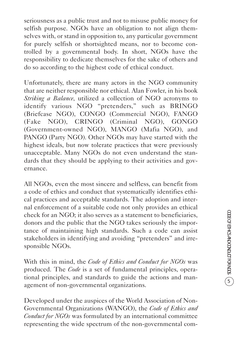seriousness as a public trust and not to misuse public money for selfish purpose. NGOs have an obligation to not align themselves with, or stand in opposition to, any particular government for purely selfish or shortsighted means, nor to become controlled by a governmental body. In short, NGOs have the responsibility to dedicate themselves for the sake of others and do so according to the highest code of ethical conduct.

Unfortunately, there are many actors in the NGO community that are neither responsible nor ethical. Alan Fowler, in his book *Striking a Balance*, utilized a collection of NGO acronyms to identify various NGO "pretenders," such as BRINGO (Briefcase NGO), CONGO (Commercial NGO), FANGO (Fake NGO), CRINGO (Criminal NGO), GONGO (Government-owned NGO), MANGO (Mafia NGO), and PANGO (Party NGO). Other NGOs may have started with the highest ideals, but now tolerate practices that were previously unacceptable. Many NGOs do not even understand the standards that they should be applying to their activities and governance.

All NGOs, even the most sincere and selfless, can benefit from a code of ethics and conduct that systematically identifies ethical practices and acceptable standards. The adoption and internal enforcement of a suitable code not only provides an ethical check for an NGO; it also serves as a statement to beneficiaries, donors and the public that the NGO takes seriously the importance of maintaining high standards. Such a code can assist stakeholders in identifying and avoiding "pretenders" and irresponsible NGOs.

With this in mind, the *Code of Ethics and Conduct for NGOs* was produced. The *Code* is a set of fundamental principles, operational principles, and standards to guide the actions and management of non-governmental organizations.

Developed under the auspices of the World Association of Non-Governmental Organizations (WANGO), the *Code of Ethics and Conduct for NGOs* was formulated by an international committee representing the wide spectrum of the non-governmental com-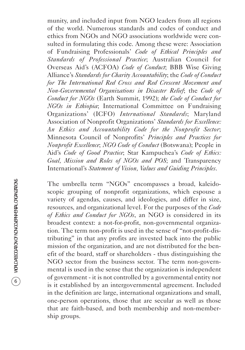munity, and included input from NGO leaders from all regions of the world. Numerous standards and codes of conduct and ethics from NGOs and NGO associations worldwide were consulted in formulating this code. Among these were: Association of Fundraising Professionals' *Code of Ethical Principles and Standards of Professional Practice*; Australian Council for Overseas Aid's (ACFOA) *Code of Conduct*; BBB Wise Giving Alliance's *Standards for Charity Accountability*; the *Code of Conduct for The International Red Cross and Red Crescent Movement and Non-Governmental Organizations in Disaster Relief*; the *Code of Conduct for NGOs* (Earth Summit, 1992); *the Code of Conduct for NGOs in Ethiopia*; International Committee on Fundraising Organizations' (ICFO) *International Standards*; Maryland Association of Nonprofit Organizations' *Standards for Excellence: An Ethics and Accountability Code for the Nonprofit Sector*; Minnesota Council of Nonprofits' *Principles and Practices for Nonprofit Excellence*; *NGO Code of Conduct* (Botswana); People in Aid's *Code of Good Practice*; Star Kampuchea's *Code of Ethics: Goal, Mission and Roles of NGOs and POS*; and Transparency International's *Statement of Vision, Values and Guiding Principles*.

The umbrella term "NGOs" encompasses a broad, kaleidoscopic grouping of nonprofit organizations, which espouse a variety of agendas, causes, and ideologies, and differ in size, resources, and organizational level. For the purposes of the *Code of Ethics and Conduct for NGOs*, an NGO is considered in its broadest context: a not-for-profit, non-governmental organization. The term non-profit is used in the sense of "not-profit-distributing" in that any profits are invested back into the public mission of the organization, and are not distributed for the benefit of the board, staff or shareholders - thus distinguishing the NGO sector from the business sector. The term non-governmental is used in the sense that the organization is independent of government - it is not controlled by a governmental entity nor is it established by an intergovernmental agreement. Included in the definition are large, international organizations and small, one-person operations, those that are secular as well as those that are faith-based, and both membership and non-membership groups.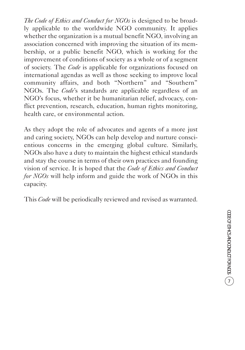*The Code of Ethics and Conduct for NGOs* is designed to be broadly applicable to the worldwide NGO community. It applies whether the organization is a mutual benefit NGO, involving an association concerned with improving the situation of its membership, or a public benefit NGO, which is working for the improvement of conditions of society as a whole or of a segment of society. The *Code* is applicable for organizations focused on international agendas as well as those seeking to improve local community affairs, and both "Northern" and "Southern" NGOs. The *Code*'s standards are applicable regardless of an NGO's focus, whether it be humanitarian relief, advocacy, conflict prevention, research, education, human rights monitoring, health care, or environmental action.

As they adopt the role of advocates and agents of a more just and caring society, NGOs can help develop and nurture conscientious concerns in the emerging global culture. Similarly, NGOs also have a duty to maintain the highest ethical standards and stay the course in terms of their own practices and founding vision of service. It is hoped that the *Code of Ethics and Conduct for NGOs* will help inform and guide the work of NGOs in this capacity.

This *Code* will be periodically reviewed and revised as warranted.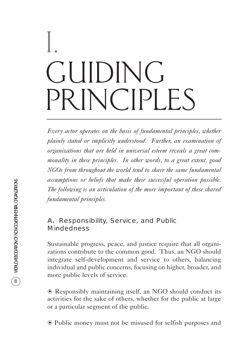### GUIDINGPRINCIPLESI.

*Every actor operates on the basis of fundamental principles, whether plainly stated or implicitly understood. Further, an examination of organizations that are held in universal esteem reveals a great commonality in these principles. In other words, to a great extent, good NGOs from throughout the world tend to share the same fundamental assumptions or beliefs that make their successful operation possible. The following is an articulation of the more important of these shared fundamental principles.*

#### **A.** Responsibility, Service, and Public **Mindedness**

Sustainable progress, peace, and justice require that all organizations contribute to the common good. Thus, an NGO should integrate self-development and service to others, balancing individual and public concerns, focusing on higher, broader, and more public levels of service.

❂ Responsibly maintaining itself, an NGO should conduct its activities for the sake of others, whether for the public at large or a particular segment of the public.

❂ Public money must not be misused for selfish purposes and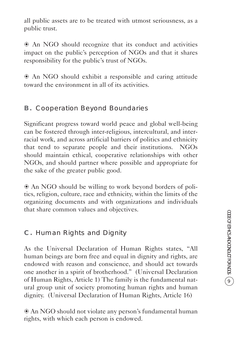all public assets are to be treated with utmost seriousness, as a public trust.

❂ An NGO should recognize that its conduct and activities impact on the public's perception of NGOs and that it shares responsibility for the public's trust of NGOs.

❂ An NGO should exhibit a responsible and caring attitude toward the environment in all of its activities.

#### **B.** Cooperation Beyond Boundaries

Significant progress toward world peace and global well-being can be fostered through inter-religious, intercultural, and interracial work, and across artificial barriers of politics and ethnicity that tend to separate people and their institutions. NGOs should maintain ethical, cooperative relationships with other NGOs, and should partner where possible and appropriate for the sake of the greater public good.

❂ An NGO should be willing to work beyond borders of politics, religion, culture, race and ethnicity, within the limits of the organizing documents and with organizations and individuals that share common values and objectives.

#### **C.** Human Rights and Dignity

As the Universal Declaration of Human Rights states, "All human beings are born free and equal in dignity and rights, are endowed with reason and conscience, and should act towards one another in a spirit of brotherhood." (Universal Declaration of Human Rights, Article 1) The family is the fundamental natural group unit of society promoting human rights and human dignity. (Universal Declaration of Human Rights, Article 16)

❂ An NGO should not violate any person's fundamental human rights, with which each person is endowed.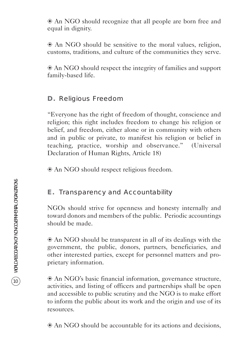❂ An NGO should recognize that all people are born free and equal in dignity.

❂ An NGO should be sensitive to the moral values, religion, customs, traditions, and culture of the communities they serve.

❂ An NGO should respect the integrity of families and support family-based life.

#### **D.** Religious Freedom

"Everyone has the right of freedom of thought, conscience and religion; this right includes freedom to change his religion or belief, and freedom, either alone or in community with others and in public or private, to manifest his religion or belief in teaching, practice, worship and observance." (Universal Declaration of Human Rights, Article 18)

❂ An NGO should respect religious freedom.

#### **E.** Transparency and Accountability

NGOs should strive for openness and honesty internally and toward donors and members of the public. Periodic accountings should be made.

❂ An NGO should be transparent in all of its dealings with the government, the public, donors, partners, beneficiaries, and other interested parties, except for personnel matters and proprietary information.

❂ An NGO's basic financial information, governance structure, activities, and listing of officers and partnerships shall be open and accessible to public scrutiny and the NGO is to make effort to inform the public about its work and the origin and use of its resources.

❂ An NGO should be accountable for its actions and decisions,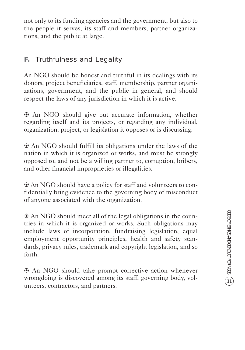not only to its funding agencies and the government, but also to the people it serves, its staff and members, partner organizations, and the public at large.

#### **F.** Truthfulness and Legality

An NGO should be honest and truthful in its dealings with its donors, project beneficiaries, staff, membership, partner organizations, government, and the public in general, and should respect the laws of any jurisdiction in which it is active.

❂ An NGO should give out accurate information, whether regarding itself and its projects, or regarding any individual, organization, project, or legislation it opposes or is discussing.

❂ An NGO should fulfill its obligations under the laws of the nation in which it is organized or works, and must be strongly opposed to, and not be a willing partner to, corruption, bribery, and other financial improprieties or illegalities.

❂ An NGO should have a policy for staff and volunteers to confidentially bring evidence to the governing body of misconduct of anyone associated with the organization.

❂ An NGO should meet all of the legal obligations in the countries in which it is organized or works. Such obligations may include laws of incorporation, fundraising legislation, equal employment opportunity principles, health and safety standards, privacy rules, trademark and copyright legislation, and so forth.

❂ An NGO should take prompt corrective action whenever wrongdoing is discovered among its staff, governing body, volunteers, contractors, and partners.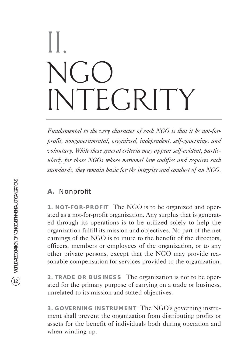### NGOINTEGRITYII.

*Fundamental to the very character of each NGO is that it be not-forprofit, nongovernmental, organized, independent, self-governing, and voluntary. While these general criteria may appear self-evident, particularly for those NGOs whose national law codifies and requires such standards, they remain basic for the integrity and conduct of an NGO.*

#### **A.** Nonprofit

**1. NOT-FOR-PROFIT** The NGO is to be organized and operated as a not-for-profit organization. Any surplus that is generated through its operations is to be utilized solely to help the organization fulfill its mission and objectives. No part of the net earnings of the NGO is to inure to the benefit of the directors, officers, members or employees of the organization, or to any other private persons, except that the NGO may provide reasonable compensation for services provided to the organization.

**2. TRADE OR BUSINESS** The organization is not to be operated for the primary purpose of carrying on a trade or business, unrelated to its mission and stated objectives.

**3. GOVERNING INSTRUMENT** The NGO's governing instrument shall prevent the organization from distributing profits or assets for the benefit of individuals both during operation and when winding up.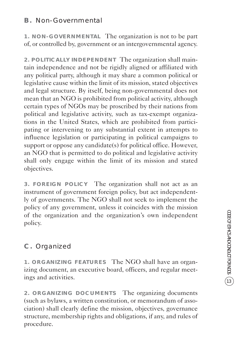#### **B.** Non-Governmental

**1. NON-GOVERNMENTAL** The organization is not to be part of, or controlled by, government or an intergovernmental agency.

**2. POLITICALLY INDEPENDENT** The organization shall maintain independence and not be rigidly aligned or affiliated with any political party, although it may share a common political or legislative cause within the limit of its mission, stated objectives and legal structure. By itself, being non-governmental does not mean that an NGO is prohibited from political activity, although certain types of NGOs may be proscribed by their nations from political and legislative activity, such as tax-exempt organizations in the United States, which are prohibited from participating or intervening to any substantial extent in attempts to influence legislation or participating in political campaigns to support or oppose any candidate(s) for political office. However, an NGO that is permitted to do political and legislative activity shall only engage within the limit of its mission and stated objectives.

**3. FOREIGN POLICY** The organization shall not act as an instrument of government foreign policy, but act independently of governments. The NGO shall not seek to implement the policy of any government, unless it coincides with the mission of the organization and the organization's own independent policy.

#### **C.** Organized

**1. ORGANIZING FEATURES** The NGO shall have an organizing document, an executive board, officers, and regular meetings and activities.

**2. ORGANIZING DOCUMENTS** The organizing documents (such as bylaws, a written constitution, or memorandum of association) shall clearly define the mission, objectives, governance structure, membership rights and obligations, if any, and rules of procedure.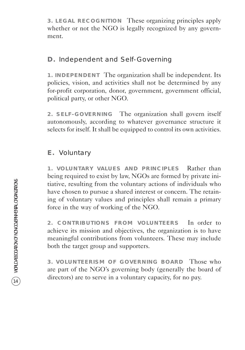**3. LEGAL RECOGNITION** These organizing principles apply whether or not the NGO is legally recognized by any government.

#### **D.** Independent and Self-Governing

**1. INDEPENDENT** The organization shall be independent. Its policies, vision, and activities shall not be determined by any for-profit corporation, donor, government, government official, political party, or other NGO.

**2. SELF-GOVERNING** The organization shall govern itself autonomously, according to whatever governance structure it selects for itself. It shall be equipped to control its own activities.

#### **E.** Voluntary

**1. VOLUNTARY VALUES AND PRINCIPLES** Rather than being required to exist by law, NGOs are formed by private initiative, resulting from the voluntary actions of individuals who have chosen to pursue a shared interest or concern. The retaining of voluntary values and principles shall remain a primary force in the way of working of the NGO. THE STRING THE VALUTED STRING TO SATE THAN THE CONTRIBUTIONS TROM VOLUNTEERS In or achieve its mission and objectives, the organization is to meaningful contributions from volunteers. These may in both the target group and

**2. CONTRIBUTIONS FROM VOLUNTEERS** In order to achieve its mission and objectives, the organization is to have meaningful contributions from volunteers. These may include both the target group and supporters.

**3. VOLUNTEERISM OF GOVERNING BOARD** Those who are part of the NGO's governing body (generally the board of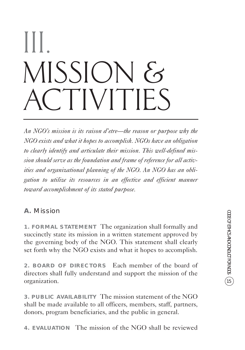### MISSION &CTIVITIES III.

*An NGO's mission is its raison d'etre—the reason or purpose why the NGO exists and what it hopes to accomplish. NGOs have an obligation to clearly identify and articulate their mission. This well-defined mission should serve as the foundation and frame of reference for all activities and organizational planning of the NGO. An NGO has an obligation to utilize its resources in an effective and efficient manner toward accomplishment of its stated purpose.* 

#### **A.** Mission

**1. FORMAL STATEMENT** The organization shall formally and succinctly state its mission in a written statement approved by the governing body of the NGO. This statement shall clearly set forth why the NGO exists and what it hopes to accomplish.

**2. BOARD OF DIRECTORS** Each member of the board of directors shall fully understand and support the mission of the organization.

**3. PUBLIC AVAILABILITY** The mission statement of the NGO shall be made available to all officers, members, staff, partners, donors, program beneficiaries, and the public in general.

**4. EVALUATION** The mission of the NGO shall be reviewed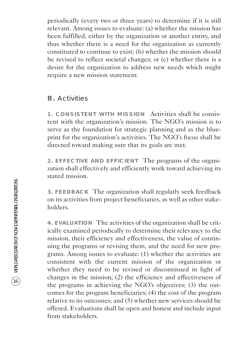periodically (every two or three years) to determine if it is still relevant. Among issues to evaluate: (a) whether the mission has been fulfilled, either by the organization or another entity, and thus whether there is a need for the organization as currently constituted to continue to exist; (b) whether the mission should be revised to reflect societal changes; or (c) whether there is a desire for the organization to address new needs which might require a new mission statement.

#### **B.** Activities

**1. CONSISTENT WITH MISSION** Activities shall be consistent with the organization's mission. The NGO's mission is to serve as the foundation for strategic planning and as the blueprint for the organization's activities. The NGO's focus shall be directed toward making sure that its goals are met.

**2. EFFECTIVE AND EFFICIENT** The programs of the organization shall effectively and efficiently work toward achieving its stated mission.

**3. FEEDBACK** The organization shall regularly seek feedback on its activities from project beneficiaries, as well as other stakeholders.

**4. EVALUATION** The activities of the organization shall be critically examined periodically to determine their relevancy to the mission, their efficiency and effectiveness, the value of continuing the programs or revising them, and the need for new programs. Among issues to evaluate: (1) whether the activities are consistent with the current mission of the organization or whether they need to be revised or discontinued in light of changes in the mission; (2) the efficiency and effectiveness of the programs in achieving the NGO's objectives; (3) the outcomes for the program beneficiaries; (4) the cost of the program relative to its outcomes; and (5) whether new services should be offered. Evaluations shall be open and honest and include input from stakeholders.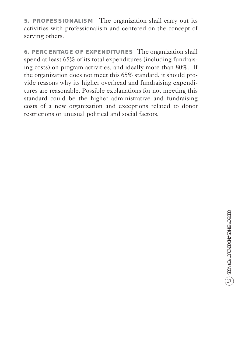**5. PROFESSIONALISM** The organization shall carry out its activities with professionalism and centered on the concept of serving others.

**6. PERCENTAGE OF EXPENDITURES** The organization shall spend at least 65% of its total expenditures (including fundraising costs) on program activities, and ideally more than 80%. If the organization does not meet this 65% standard, it should provide reasons why its higher overhead and fundraising expenditures are reasonable. Possible explanations for not meeting this standard could be the higher administrative and fundraising costs of a new organization and exceptions related to donor restrictions or unusual political and social factors.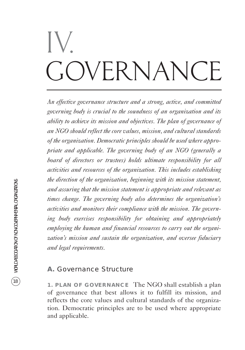## GOVERNANCEIV.

*An effective governance structure and a strong, active, and committed governing body is crucial to the soundness of an organization and its ability to achieve its mission and objectives. The plan of governance of an NGO should reflect the core values, mission, and cultural standards of the organization. Democratic principles should be used where appropriate and applicable. The governing body of an NGO (generally a board of directors or trustees) holds ultimate responsibility for all activities and resources of the organization. This includes establishing the direction of the organization, beginning with its mission statement, and assuring that the mission statement is appropriate and relevant as times change. The governing body also determines the organization's activities and monitors their compliance with the mission. The governing body exercises responsibility for obtaining and appropriately employing the human and financial resources to carry out the organization's mission and sustain the organization, and oversee fiduciary and legal requirements.* 

#### **A.** Governance Structure

**1. PLAN OF GOVERNANCE** The NGO shall establish a plan of governance that best allows it to fulfill its mission, and reflects the core values and cultural standards of the organization. Democratic principles are to be used where appropriate and applicable.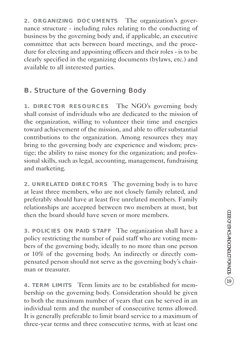**2. ORGANIZING DOCUMENTS** The organization's governance structure - including rules relating to the conducting of business by the governing body and, if applicable, an executive committee that acts between board meetings, and the procedure for electing and appointing officers and their roles - is to be clearly specified in the organizing documents (bylaws, etc.) and available to all interested parties.

#### **B.** Structure of the Governing Body

**1. DIRECTOR RESOURCES** The NGO's governing body shall consist of individuals who are dedicated to the mission of the organization, willing to volunteer their time and energies toward achievement of the mission, and able to offer substantial contributions to the organization. Among resources they may bring to the governing body are experience and wisdom; prestige; the ability to raise money for the organization; and professional skills, such as legal, accounting, management, fundraising and marketing.

**2. UNRELATED DIRECTORS** The governing body is to have at least three members, who are not closely family related, and preferably should have at least five unrelated members. Family relationships are accepted between two members at most, but then the board should have seven or more members.

**3. POLICIES ON PAID STAFF** The organization shall have a policy restricting the number of paid staff who are voting members of the governing body, ideally to no more than one person or 10% of the governing body. An indirectly or directly compensated person should not serve as the governing body's chairman or treasurer.

**4. TERM LIMITS** Term limits are to be established for membership on the governing body. Consideration should be given to both the maximum number of years that can be served in an individual term and the number of consecutive terms allowed. It is generally preferable to limit board service to a maximum of three-year terms and three consecutive terms, with at least one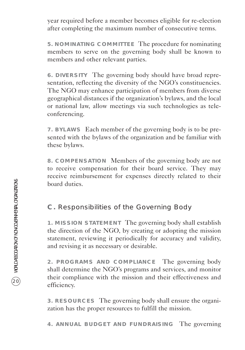year required before a member becomes eligible for re-election after completing the maximum number of consecutive terms.

**5. NOMINATING COMMITTEE** The procedure for nominating members to serve on the governing body shall be known to members and other relevant parties.

**6. DIVERSITY** The governing body should have broad representation, reflecting the diversity of the NGO's constituencies. The NGO may enhance participation of members from diverse geographical distances if the organization's bylaws, and the local or national law, allow meetings via such technologies as teleconferencing.

**7. BYLAWS** Each member of the governing body is to be presented with the bylaws of the organization and be familiar with these bylaws.

**8. COMPENSATION** Members of the governing body are not to receive compensation for their board service. They may receive reimbursement for expenses directly related to their board duties.

#### **C.** Responsibilities of the Governing Body

**1. MISSION STATEMENT** The governing body shall establish the direction of the NGO, by creating or adopting the mission statement, reviewing it periodically for accuracy and validity, and revising it as necessary or desirable.

**2. PROGRAMS AND COMPLIANCE** The governing body shall determine the NGO's programs and services, and monitor their compliance with the mission and their effectiveness and efficiency.

**3. RESOURCES** The governing body shall ensure the organization has the proper resources to fulfill the mission.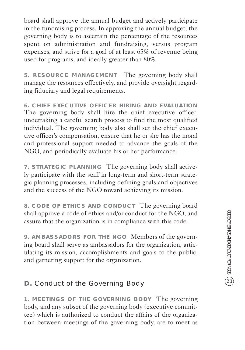board shall approve the annual budget and actively participate in the fundraising process. In approving the annual budget, the governing body is to ascertain the percentage of the resources spent on administration and fundraising, versus program expenses, and strive for a goal of at least 65% of revenue being used for programs, and ideally greater than 80%.

**5. RESOURCE MANAGEMENT** The governing body shall manage the resources effectively, and provide oversight regarding fiduciary and legal requirements.

**6. CHIEF EXECUTIVE OFFICER HIRING AND EVALUATION** The governing body shall hire the chief executive officer, undertaking a careful search process to find the most qualified individual. The governing body also shall set the chief executive officer's compensation, ensure that he or she has the moral and professional support needed to advance the goals of the NGO, and periodically evaluate his or her performance.

**7. STRATEGIC PLANNING** The governing body shall actively participate with the staff in long-term and short-term strategic planning processes, including defining goals and objectives and the success of the NGO toward achieving its mission.

**8. CODE OF ETHICS AND CONDUCT** The governing board shall approve a code of ethics and/or conduct for the NGO, and assure that the organization is in compliance with this code.

**9. AMBASSADORS FOR THE NGO** Members of the governing board shall serve as ambassadors for the organization, articulating its mission, accomplishments and goals to the public, and garnering support for the organization.

#### **D.** Conduct of the Governing Body

**1. MEETINGS OF THE GOVERNING BODY** The governing body, and any subset of the governing body (executive committee) which is authorized to conduct the affairs of the organization between meetings of the governing body, are to meet as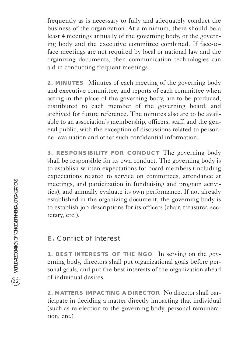frequently as is necessary to fully and adequately conduct the business of the organization. At a minimum, there should be a least 4 meetings annually of the governing body, or the governing body and the executive committee combined. If face-toface meetings are not required by local or national law and the organizing documents, then communication technologies can aid in conducting frequent meetings.

**2. MINUTES** Minutes of each meeting of the governing body and executive committee, and reports of each committee when acting in the place of the governing body, are to be produced, distributed to each member of the governing board, and archived for future reference. The minutes also are to be available to an association's membership, officers, staff, and the general public, with the exception of discussions related to personnel evaluation and other such confidential information.

**3. RESPONSIBILITY FOR CONDUCT** The governing body shall be responsible for its own conduct. The governing body is to establish written expectations for board members (including expectations related to service on committees, attendance at meetings, and participation in fundraising and program activities), and annually evaluate its own performance. If not already established in the organizing document, the governing body is to establish job descriptions for its officers (chair, treasurer, secretary, etc.).

#### **E.** Conflict of Interest

**1. BEST INTERESTS OF THE NGO** In serving on the governing body, directors shall put organizational goals before personal goals, and put the best interests of the organization ahead of individual desires.

**2. MATTERS IMPACTING A DIRECTOR** No director shall participate in deciding a matter directly impacting that individual (such as re-election to the governing body, personal remuneration, etc.)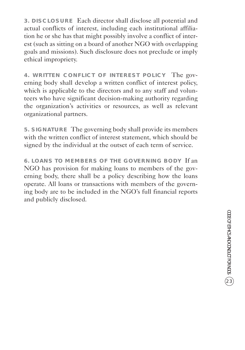**3. DISCLOSURE** Each director shall disclose all potential and actual conflicts of interest, including each institutional affiliation he or she has that might possibly involve a conflict of interest (such as sitting on a board of another NGO with overlapping goals and missions). Such disclosure does not preclude or imply ethical impropriety.

**4. WRITTEN CONFLICT OF INTEREST POLICY** The governing body shall develop a written conflict of interest policy, which is applicable to the directors and to any staff and volunteers who have significant decision-making authority regarding the organization's activities or resources, as well as relevant organizational partners.

**5. SIGNATURE** The governing body shall provide its members with the written conflict of interest statement, which should be signed by the individual at the outset of each term of service.

**6. LOANS TO MEMBERS OF THE GOVERNING BODY** If an NGO has provision for making loans to members of the governing body, there shall be a policy describing how the loans operate. All loans or transactions with members of the governing body are to be included in the NGO's full financial reports and publicly disclosed.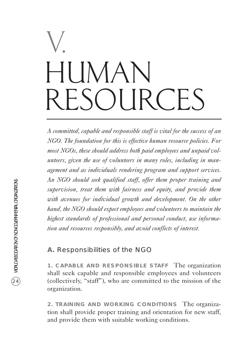### HUMANRESOURCES V.

*A committed, capable and responsible staff is vital for the success of an NGO. The foundation for this is effective human resource policies. For most NGOs, these should address both paid employees and unpaid volunteers, given the use of volunteers in many roles, including in management and as individuals rendering program and support services. An NGO should seek qualified staff, offer them proper training and supervision, treat them with fairness and equity, and provide them with avenues for individual growth and development. On the other hand, the NGO should expect employees and volunteers to maintain the highest standards of professional and personal conduct, use information and resources responsibly, and avoid conflicts of interest.* 

#### **A.** Responsibilities of the NGO

**1. CAPABLE AND RESPONSIBLE STAFF** The organization shall seek capable and responsible employees and volunteers (collectively, "staff"), who are committed to the mission of the organization.

**2. TRAINING AND WORKING CONDITIONS** The organization shall provide proper training and orientation for new staff, and provide them with suitable working conditions.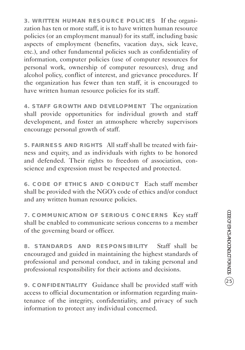**3. WRITTEN HUMAN RESOURCE POLICIES** If the organization has ten or more staff, it is to have written human resource policies (or an employment manual) for its staff, including basic aspects of employment (benefits, vacation days, sick leave, etc.), and other fundamental policies such as confidentiality of information, computer policies (use of computer resources for personal work, ownership of computer resources), drug and alcohol policy, conflict of interest, and grievance procedures. If the organization has fewer than ten staff, it is encouraged to have written human resource policies for its staff.

**4. STAFF GROWTH AND DEVELOPMENT** The organization shall provide opportunities for individual growth and staff development, and foster an atmosphere whereby supervisors encourage personal growth of staff.

**5. FAIRNESS AND RIGHTS** All staff shall be treated with fairness and equity, and as individuals with rights to be honored and defended. Their rights to freedom of association, conscience and expression must be respected and protected.

**6. CODE OF ETHICS AND CONDUCT** Each staff member shall be provided with the NGO's code of ethics and/or conduct and any written human resource policies.

**7. COMMUNICATION OF SERIOUS CONCERNS** Key staff shall be enabled to communicate serious concerns to a member of the governing board or officer.

**8. STANDARDS AND RESPONSIBILITY** Staff shall be encouraged and guided in maintaining the highest standards of professional and personal conduct, and in taking personal and professional responsibility for their actions and decisions.

**9. CONFIDENTIALITY** Guidance shall be provided staff with access to official documentation or information regarding maintenance of the integrity, confidentiality, and privacy of such information to protect any individual concerned.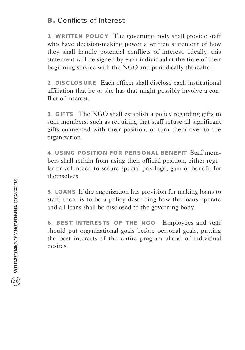#### **B.** Conflicts of Interest

**1. WRITTEN POLICY** The governing body shall provide staff who have decision-making power a written statement of how they shall handle potential conflicts of interest. Ideally, this statement will be signed by each individual at the time of their beginning service with the NGO and periodically thereafter.

**2. DISCLOSURE** Each officer shall disclose each institutional affiliation that he or she has that might possibly involve a conflict of interest.

**3. GIFTS** The NGO shall establish a policy regarding gifts to staff members, such as requiring that staff refuse all significant gifts connected with their position, or turn them over to the organization.

**4. USING POSITION FOR PERSONAL BENEFIT** Staff members shall refrain from using their official position, either regular or volunteer, to secure special privilege, gain or benefit for themselves.

**5. LOANS** If the organization has provision for making loans to staff, there is to be a policy describing how the loans operate and all loans shall be disclosed to the governing body.

**6. BEST INTERESTS OF THE NGO** Employees and staff should put organizational goals before personal goals, putting the best interests of the entire program ahead of individual desires.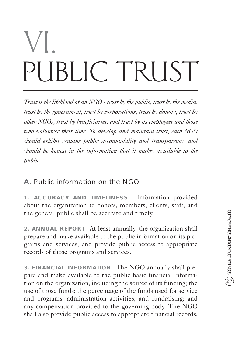## PUBLIC TRUST VI.

*Trust is the lifeblood of an NGO - trust by the public, trust by the media, trust by the government, trust by corporations, trust by donors, trust by other NGOs, trust by beneficiaries, and trust by its employees and those who volunteer their time. To develop and maintain trust, each NGO should exhibit genuine public accountability and transparency, and should be honest in the information that it makes available to the public.*

#### **A.** Public information on the NGO

**1. ACCURACY AND TIMELINESS** Information provided about the organization to donors, members, clients, staff, and the general public shall be accurate and timely.

**2. ANNUAL REPORT** At least annually, the organization shall prepare and make available to the public information on its programs and services, and provide public access to appropriate records of those programs and services.

**3. FINANCIAL INFORMATION** The NGO annually shall prepare and make available to the public basic financial information on the organization, including the source of its funding; the use of those funds; the percentage of the funds used for service and programs, administration activities, and fundraising; and any compensation provided to the governing body. The NGO shall also provide public access to appropriate financial records.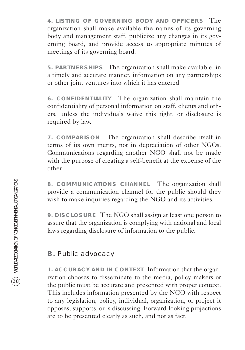**4. LISTING OF GOVERNING BODY AND OFFICERS** The organization shall make available the names of its governing body and management staff, publicize any changes in its governing board, and provide access to appropriate minutes of meetings of its governing board.

**5. PARTNERSHIPS** The organization shall make available, in a timely and accurate manner, information on any partnerships or other joint ventures into which it has entered.

**6. CONFIDENTIALITY** The organization shall maintain the confidentiality of personal information on staff, clients and others, unless the individuals waive this right, or disclosure is required by law.

**7. COMPARISON** The organization shall describe itself in terms of its own merits, not in depreciation of other NGOs. Communications regarding another NGO shall not be made with the purpose of creating a self-benefit at the expense of the other.

**8. COMMUNICATIONS CHANNEL** The organization shall provide a communication channel for the public should they wish to make inquiries regarding the NGO and its activities.

**9. DISCLOSURE** The NGO shall assign at least one person to assure that the organization is complying with national and local laws regarding disclosure of information to the public.

#### **B.** Public advocacy

**1. ACCURACY AND IN CONTEXT** Information that the organization chooses to disseminate to the media, policy makers or the public must be accurate and presented with proper context. This includes information presented by the NGO with respect to any legislation, policy, individual, organization, or project it opposes, supports, or is discussing. Forward-looking projections are to be presented clearly as such, and not as fact.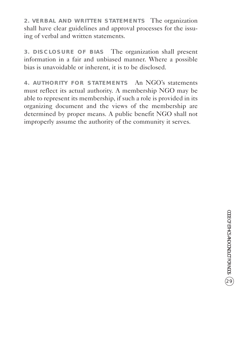**2. VERBAL AND WRITTEN STATEMENTS** The organization shall have clear guidelines and approval processes for the issuing of verbal and written statements.

**3. DISCLOSURE OF BIAS** The organization shall present information in a fair and unbiased manner. Where a possible bias is unavoidable or inherent, it is to be disclosed.

**4. AUTHORITY FOR STATEMENTS** An NGO's statements must reflect its actual authority. A membership NGO may be able to represent its membership, if such a role is provided in its organizing document and the views of the membership are determined by proper means. A public benefit NGO shall not improperly assume the authority of the community it serves.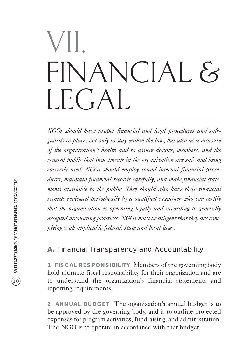### FINANCIAL & LEGALVII.

*NGOs should have proper financial and legal procedures and safeguards in place, not only to stay within the law, but also as a measure of the organization's health and to assure donors, members, and the general public that investments in the organization are safe and being correctly used. NGOs should employ sound internal financial procedures, maintain financial records carefully, and make financial statements available to the public. They should also have their financial records reviewed periodically by a qualified examiner who can certify that the organization is operating legally and according to generally accepted accounting practices. NGOs must be diligent that they are complying with applicable federal, state and local laws.*

#### **A.** Financial Transparency and Accountability

**1. FISCAL RESPONSIBILITY** Members of the governing body hold ultimate fiscal responsibility for their organization and are to understand the organization's financial statements and reporting requirements.

**2. ANNUAL BUDGET** The organization's annual budget is to be approved by the governing body, and is to outline projected expenses for program activities, fundraising, and administration. The NGO is to operate in accordance with that budget.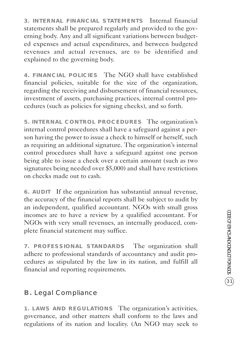**3. INTERNAL FINANCIAL STATEMENTS** Internal financial statements shall be prepared regularly and provided to the governing body. Any and all significant variations between budgeted expenses and actual expenditures, and between budgeted revenues and actual revenues, are to be identified and explained to the governing body.

**4. FINANCIAL POLICIES** The NGO shall have established financial policies, suitable for the size of the organization, regarding the receiving and disbursement of financial resources, investment of assets, purchasing practices, internal control procedures (such as policies for signing checks), and so forth.

**5. INTERNAL CONTROL PROCEDURES** The organization's internal control procedures shall have a safeguard against a person having the power to issue a check to himself or herself, such as requiring an additional signature. The organization's internal control procedures shall have a safeguard against one person being able to issue a check over a certain amount (such as two signatures being needed over \$5,000) and shall have restrictions on checks made out to cash.

**6. AUDIT** If the organization has substantial annual revenue, the accuracy of the financial reports shall be subject to audit by an independent, qualified accountant. NGOs with small gross incomes are to have a review by a qualified accountant. For NGOs with very small revenues, an internally produced, complete financial statement may suffice.

**7. PROFESSIONAL STANDARDS** The organization shall adhere to professional standards of accountancy and audit procedures as stipulated by the law in its nation, and fulfill all financial and reporting requirements.

#### **B.** Legal Compliance

**1. LAWS AND REGULATIONS** The organization's activities, governance, and other matters shall conform to the laws and regulations of its nation and locality. (An NGO may seek to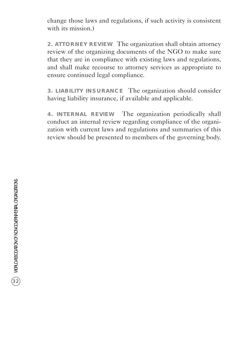change those laws and regulations, if such activity is consistent with its mission.)

**2. ATTORNEY REVIEW** The organization shall obtain attorney review of the organizing documents of the NGO to make sure that they are in compliance with existing laws and regulations, and shall make recourse to attorney services as appropriate to ensure continued legal compliance.

**3. LIABILITY INSURANCE** The organization should consider having liability insurance, if available and applicable.

**4. INTERNAL REVIEW** The organization periodically shall conduct an internal review regarding compliance of the organization with current laws and regulations and summaries of this review should be presented to members of the governing body.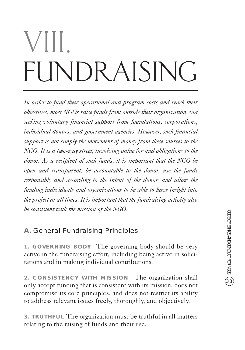### FUNDRAISINGVIII.

*In order to fund their operational and program costs and reach their objectives, most NGOs raise funds from outside their organization, via seeking voluntary financial support from foundations, corporations, individual donors, and government agencies. However, such financial support is not simply the movement of money from these sources to the NGO. It is a two-way street, involving value for and obligations to the donor. As a recipient of such funds, it is important that the NGO be open and transparent, be accountable to the donor, use the funds responsibly and according to the intent of the donor, and allow the funding individuals and organizations to be able to have insight into the project at all times. It is important that the fundraising activity also be consistent with the mission of the NGO.*

#### **A.** General Fundraising Principles

**1. GOVERNING BODY** The governing body should be very active in the fundraising effort, including being active in solicitations and in making individual contributions.

**2. CONSISTENCY WITH MISSION** The organization shall only accept funding that is consistent with its mission, does not compromise its core principles, and does not restrict its ability to address relevant issues freely, thoroughly, and objectively.

**3. TRUTHFUL** The organization must be truthful in all matters relating to the raising of funds and their use.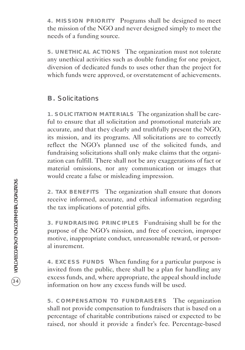**4. MISSION PRIORITY** Programs shall be designed to meet the mission of the NGO and never designed simply to meet the needs of a funding source.

**5. UNETHICAL ACTIONS** The organization must not tolerate any unethical activities such as double funding for one project, diversion of dedicated funds to uses other than the project for which funds were approved, or overstatement of achievements.

#### **B.** Solicitations

**1. SOLICITATION MATERIALS** The organization shall be careful to ensure that all solicitation and promotional materials are accurate, and that they clearly and truthfully present the NGO, its mission, and its programs. All solicitations are to correctly reflect the NGO's planned use of the solicited funds, and fundraising solicitations shall only make claims that the organization can fulfill. There shall not be any exaggerations of fact or material omissions, nor any communication or images that would create a false or misleading impression.

**2. TAX BENEFITS** The organization shall ensure that donors receive informed, accurate, and ethical information regarding the tax implications of potential gifts.

**3. FUNDRAISING PRINCIPLES** Fundraising shall be for the purpose of the NGO's mission, and free of coercion, improper motive, inappropriate conduct, unreasonable reward, or personal inurement.

**4. EXCESS FUNDS** When funding for a particular purpose is invited from the public, there shall be a plan for handling any excess funds, and, where appropriate, the appeal should include information on how any excess funds will be used.

**5. COMPENSATION TO FUNDRAISERS** The organization shall not provide compensation to fundraisers that is based on a percentage of charitable contributions raised or expected to be raised, nor should it provide a finder's fee. Percentage-based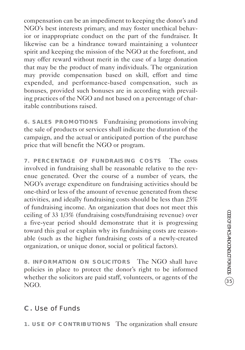compensation can be an impediment to keeping the donor's and NGO's best interests primary, and may foster unethical behavior or inappropriate conduct on the part of the fundraiser. It likewise can be a hindrance toward maintaining a volunteer spirit and keeping the mission of the NGO at the forefront, and may offer reward without merit in the case of a large donation that may be the product of many individuals. The organization may provide compensation based on skill, effort and time expended, and performance-based compensation, such as bonuses, provided such bonuses are in according with prevailing practices of the NGO and not based on a percentage of charitable contributions raised.

**6. SALES PROMOTIONS** Fundraising promotions involving the sale of products or services shall indicate the duration of the campaign, and the actual or anticipated portion of the purchase price that will benefit the NGO or program.

**7. PERCENTAGE OF FUNDRAISING COSTS** The costs involved in fundraising shall be reasonable relative to the revenue generated. Over the course of a number of years, the NGO's average expenditure on fundraising activities should be one-third or less of the amount of revenue generated from these activities, and ideally fundraising costs should be less than 25% of fundraising income. An organization that does not meet this ceiling of 33 1/3% (fundraising costs/fundraising revenue) over a five-year period should demonstrate that it is progressing toward this goal or explain why its fundraising costs are reasonable (such as the higher fundraising costs of a newly-created organization, or unique donor, social or political factors).

**8. INFORMATION ON SOLICITORS** The NGO shall have policies in place to protect the donor's right to be informed whether the solicitors are paid staff, volunteers, or agents of the NGO.

#### **C.** Use of Funds

**1. USE OF CONTRIBUTIONS** The organization shall ensure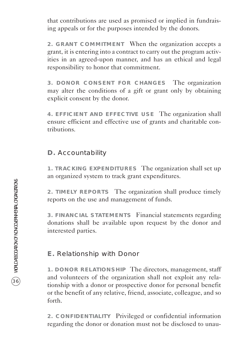that contributions are used as promised or implied in fundraising appeals or for the purposes intended by the donors.

**2. GRANT COMMITMENT** When the organization accepts a grant, it is entering into a contract to carry out the program activities in an agreed-upon manner, and has an ethical and legal responsibility to honor that commitment.

**3. DONOR CONSENT FOR CHANGES** The organization may alter the conditions of a gift or grant only by obtaining explicit consent by the donor.

**4. EFFICIENT AND EFFECTIVE USE** The organization shall ensure efficient and effective use of grants and charitable contributions.

#### **D.** Accountability

**1. TRACKING EXPENDITURES** The organization shall set up an organized system to track grant expenditures.

**2. TIMELY REPORTS** The organization shall produce timely reports on the use and management of funds.

**3. FINANCIAL STATEMENTS** Financial statements regarding donations shall be available upon request by the donor and interested parties.

#### **E.** Relationship with Donor

**1. DONOR RELATIONSHIP** The directors, management, staff and volunteers of the organization shall not exploit any relationship with a donor or prospective donor for personal benefit or the benefit of any relative, friend, associate, colleague, and so forth.

**2. CONFIDENTIALITY** Privileged or confidential information regarding the donor or donation must not be disclosed to unau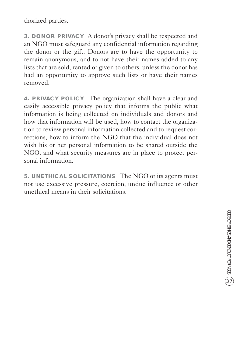thorized parties.

**3. DONOR PRIVACY** A donor's privacy shall be respected and an NGO must safeguard any confidential information regarding the donor or the gift. Donors are to have the opportunity to remain anonymous, and to not have their names added to any lists that are sold, rented or given to others, unless the donor has had an opportunity to approve such lists or have their names removed.

**4. PRIVACY POLICY** The organization shall have a clear and easily accessible privacy policy that informs the public what information is being collected on individuals and donors and how that information will be used, how to contact the organization to review personal information collected and to request corrections, how to inform the NGO that the individual does not wish his or her personal information to be shared outside the NGO, and what security measures are in place to protect personal information.

**5. UNETHICAL SOLICITATIONS** The NGO or its agents must not use excessive pressure, coercion, undue influence or other unethical means in their solicitations.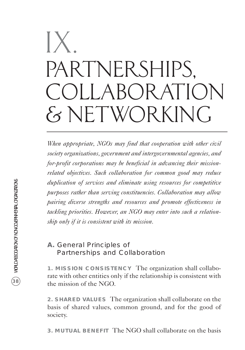### PARTNERSHIPS, COLLABORATION& NETWORKING $\mathsf{I} \times$

*When appropriate, NGOs may find that cooperation with other civil society organizations, government and intergovernmental agencies, and for-profit corporations may be beneficial in advancing their missionrelated objectives. Such collaboration for common good may reduce duplication of services and eliminate using resources for competitive purposes rather than serving constituencies. Collaboration may allow pairing diverse strengths and resources and promote effectiveness in tackling priorities. However, an NGO may enter into such a relationship only if it is consistent with its mission.*

#### **A.** General Principles of Partnerships and Collaboration

**1. MISSION CONSISTENCY** The organization shall collaborate with other entities only if the relationship is consistent with the mission of the NGO.

**2. SHARED VALUES** The organization shall collaborate on the basis of shared values, common ground, and for the good of society.

**3. MUTUAL BENEFIT** The NGO shall collaborate on the basis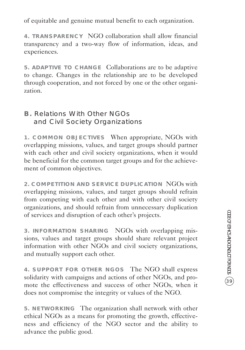of equitable and genuine mutual benefit to each organization.

**4. TRANSPARENCY** NGO collaboration shall allow financial transparency and a two-way flow of information, ideas, and experiences.

**5. ADAPTIVE TO CHANGE** Collaborations are to be adaptive to change. Changes in the relationship are to be developed through cooperation, and not forced by one or the other organization.

#### **B.** Relations With Other NGOs and Civil Society Organizations

**1. COMMON OBJECTIVES** When appropriate, NGOs with overlapping missions, values, and target groups should partner with each other and civil society organizations, when it would be beneficial for the common target groups and for the achievement of common objectives.

**2. COMPETITION AND SERVICE DUPLICATION** NGOs with overlapping missions, values, and target groups should refrain from competing with each other and with other civil society organizations, and should refrain from unnecessary duplication of services and disruption of each other's projects.

**3. INFORMATION SHARING** NGOs with overlapping missions, values and target groups should share relevant project information with other NGOs and civil society organizations, and mutually support each other.

**4. SUPPORT FOR OTHER NGOS** The NGO shall express solidarity with campaigns and actions of other NGOs, and promote the effectiveness and success of other NGOs, when it does not compromise the integrity or values of the NGO.

**5. NETWORKING** The organization shall network with other ethical NGOs as a means for promoting the growth, effectiveness and efficiency of the NGO sector and the ability to advance the public good.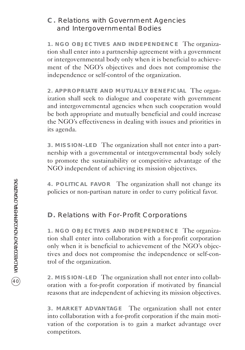#### **C.** Relations with Government Agencies and Intergovernmental Bodies

**1. NGO OBJECTIVES AND INDEPENDENCE** The organization shall enter into a partnership agreement with a government or intergovernmental body only when it is beneficial to achievement of the NGO's objectives and does not compromise the independence or self-control of the organization.

**2. APPROPRIATE AND MUTUALLY BENEFICIAL** The organization shall seek to dialogue and cooperate with government and intergovernmental agencies when such cooperation would be both appropriate and mutually beneficial and could increase the NGO's effectiveness in dealing with issues and priorities in its agenda.

**3. MISSION-LED** The organization shall not enter into a partnership with a governmental or intergovernmental body solely to promote the sustainability or competitive advantage of the NGO independent of achieving its mission objectives.

**4. POLITICAL FAVOR** The organization shall not change its policies or non-partisan nature in order to curry political favor.

#### **D.** Relations with For-Profit Corporations

**1. NGO OBJECTIVES AND INDEPENDENCE** The organization shall enter into collaboration with a for-profit corporation only when it is beneficial to achievement of the NGO's objectives and does not compromise the independence or self-control of the organization.

**2. MISSION-LED** The organization shall not enter into collaboration with a for-profit corporation if motivated by financial reasons that are independent of achieving its mission objectives.

**3. MARKET ADVANTAGE** The organization shall not enter into collaboration with a for-profit corporation if the main motivation of the corporation is to gain a market advantage over competitors.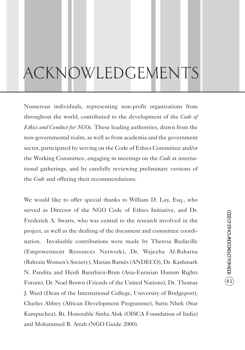### ACKNOWLEDGEMENTS

Numerous individuals, representing non-profit organizations from throughout the world, contributed to the development of the *Code of Ethics and Conduct for NGOs.* These leading authorities, drawn from the non-governmental realm, as well as from academia and the government sector, participated by serving on the Code of Ethics Committee and/or the Working Committee, engaging in meetings on the *Code* at international gatherings, and by carefully reviewing preliminary versions of the *Code* and offering their recommendations.

We would like to offer special thanks to William D. Lay, Esq., who served as Director of the NGO Code of Ethics Initiative, and Dr. Frederick A. Swarts, who was central to the research involved in the project, as well as the drafting of the document and committee coordination. Invaluable contributions were made by Theresa Rudacille (Empowerment Resources Network), Dr. Wajeeha Al-Baharna (Bahrain Women's Society), Marian Barnés (ANDECO), Dr. Kashinath N. Pandita and Heidi Barathieu-Brun (Asia-Eurasian Human Rights Forum), Dr. Noel Brown (Friends of the United Nations), Dr. Thomas J. Ward (Dean of the International College, University of Bridgeport), Charles Abbey (African Development Programme), Sarin Nhek (Star Kampuchea), Rt. Honorable Sinha Alok (OISCA Foundation of India) and Mohammed B. Attah (NGO Guide 2000).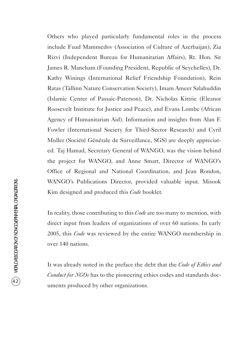Others who played particularly fundamental roles in the process include Fuad Mammedov (Association of Culture of Azerbaijan), Zia Rizvi (Independent Bureau for Humanitarian Affairs), Rt. Hon. Sir James R. Mancham (Founding President, Republic of Seychelles), Dr. Kathy Winings (International Relief Friendship Foundation), Rein Ratas (Tallinn Nature Conservation Society), Imam Ameer Salahuddin (Islamic Center of Passaic-Paterson), Dr. Nicholas Kittrie (Eleanor Roosevelt Institute for Justice and Peace), and Evans Lombe (African Agency of Humanitarian Aid). Information and insights from Alan F. Fowler (International Society for Third-Sector Research) and Cyril Muller (Société Générale de Surveillance, SGS) are deeply appreciated. Taj Hamad, Secretary General of WANGO, was the vision behind the project for WANGO, and Anne Smart, Director of WANGO's Office of Regional and National Coordination, and Jean Rondon, WANGO's Publications Director, provided valuable input. Misook Kim designed and produced this *Code* booklet.

In reality, those contributing to this *Code* are too many to mention, with direct input from leaders of organizations of over 60 nations. In early 2005, this *Code* was reviewed by the entire WANGO membership in over 140 nations.

It was already noted in the preface the debt that the *Code of Ethics and Conduct for NGOs* has to the pioneering ethics codes and standards documents produced by other organizations.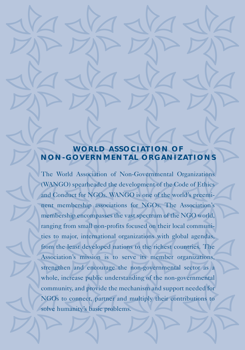#### **WORLD ASSOCIATION OF NON-GOVERNMENTAL ORGANIZATIONS**

❊❊❊❊ ❊❊❊❊ ❊❊❊❊ ❊❊❊❊ ❊❊❊❊ ❊❊❊❊ The World Association of Non-Governmental Organizations (WANGO) spearheaded the development of the Code of Ethics and Conduct for NGOs. WANGO is one of the world's preeminent membership associations for NGOs. The Association's membership encompasses the vast spectrum of the NGO world, ranging from small non-profits focused on their local communities to major, international organizations with global agendas, from the least developed nations to the richest countries. The Association's mission is to serve its member organizations, strengthen and encourage the non-governmental sector as a whole, increase public understanding of the non-governmental community, and provide the mechanism and support needed for NGOs to connect, partner and multiply their contributions to solve humanity's basic problems.